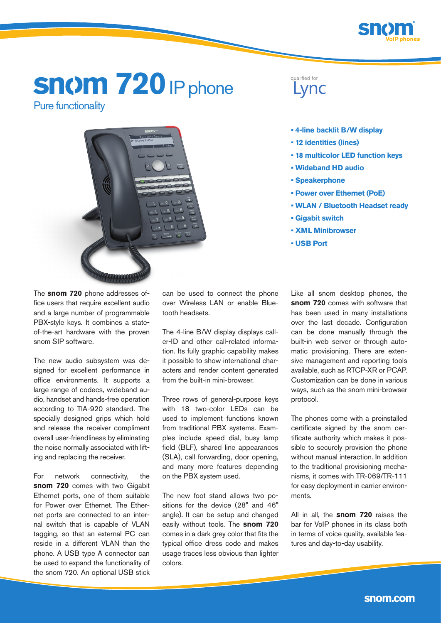

# **snom 720** IP phone Pure functionality



## qualified for Lync

- **4-line backlit B/W display**
- **12 identities (lines)**
- **18 multicolor LED function keys**
- **Wideband HD audio**
- **Speakerphone**
- **Power over Ethernet (PoE)**
- **WLAN / Bluetooth Headset ready**
- **Gigabit switch**
- **XML Minibrowser**
- **USB Port**

The **snom 720** phone addresses office users that require excellent audio and a large number of programmable PBX-style keys. It combines a stateof-the-art hardware with the proven snom SIP software.

The new audio subsystem was designed for excellent performance in office environments. It supports a large range of codecs, wideband audio, handset and hands-free operation according to TIA-920 standard. The specially designed grips which hold and release the receiver compliment overall user-friendliness by eliminating the noise normally associated with lifting and replacing the receiver.

For network connectivity, the **snom 720** comes with two Gigabit Ethernet ports, one of them suitable for Power over Ethernet. The Ethernet ports are connected to an internal switch that is capable of VLAN tagging, so that an external PC can reside in a different VLAN than the phone. A USB type A connector can be used to expand the functionality of the snom 720. An optional USB stick can be used to connect the phone over Wireless LAN or enable Bluetooth headsets.

The 4-line B/W display displays caller-ID and other call-related information. Its fully graphic capability makes it possible to show international characters and render content generated from the built-in mini-browser.

Three rows of general-purpose keys with 18 two-color LEDs can be used to implement functions known from traditional PBX systems. Examples include speed dial, busy lamp field (BLF), shared line appearances (SLA), call forwarding, door opening, and many more features depending on the PBX system used.

The new foot stand allows two positions for the device (28° and 46° angle). It can be setup and changed easily without tools. The **snom 720** comes in a dark grey color that fits the typical office dress code and makes usage traces less obvious than lighter colors.

Like all snom desktop phones, the **snom 720** comes with software that has been used in many installations over the last decade. Configuration can be done manually through the built-in web server or through automatic provisioning. There are extensive management and reporting tools available, such as RTCP-XR or PCAP. Customization can be done in various ways, such as the snom mini-browser protocol.

The phones come with a preinstalled certificate signed by the snom certificate authority which makes it possible to securely provision the phone without manual interaction. In addition to the traditional provisioning mechanisms, it comes with TR-069/TR-111 for easy deployment in carrier environments.

All in all, the **snom 720** raises the bar for VoIP phones in its class both in terms of voice quality, available features and day-to-day usability.